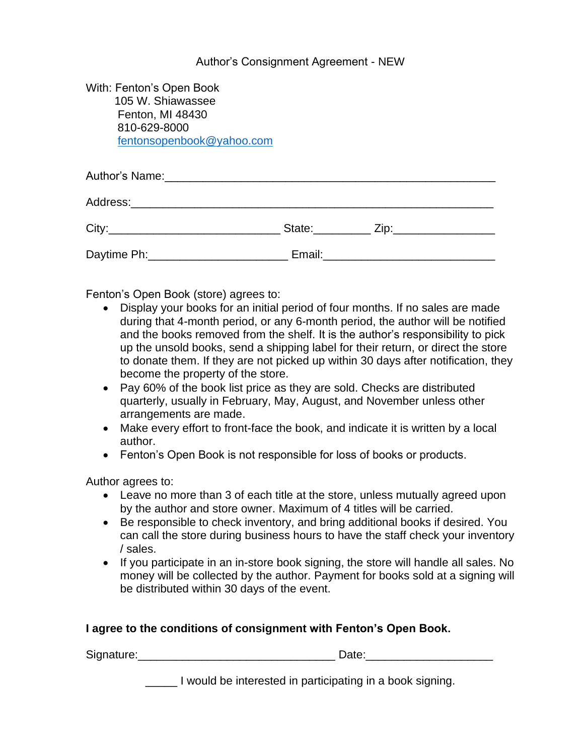## Author's Consignment Agreement - NEW

| With: Fenton's Open Book<br>105 W. Shiawassee<br>Fenton, MI 48430<br>810-629-8000<br>fentonsopenbook@yahoo.com |                         |
|----------------------------------------------------------------------------------------------------------------|-------------------------|
|                                                                                                                |                         |
|                                                                                                                |                         |
|                                                                                                                | State: <u>Zip: Zip:</u> |
|                                                                                                                |                         |

Fenton's Open Book (store) agrees to:

- Display your books for an initial period of four months. If no sales are made during that 4-month period, or any 6-month period, the author will be notified and the books removed from the shelf. It is the author's responsibility to pick up the unsold books, send a shipping label for their return, or direct the store to donate them. If they are not picked up within 30 days after notification, they become the property of the store.
- Pay 60% of the book list price as they are sold. Checks are distributed quarterly, usually in February, May, August, and November unless other arrangements are made.
- Make every effort to front-face the book, and indicate it is written by a local author.
- Fenton's Open Book is not responsible for loss of books or products.

Author agrees to:

- Leave no more than 3 of each title at the store, unless mutually agreed upon by the author and store owner. Maximum of 4 titles will be carried.
- Be responsible to check inventory, and bring additional books if desired. You can call the store during business hours to have the staff check your inventory / sales.
- If you participate in an in-store book signing, the store will handle all sales. No money will be collected by the author. Payment for books sold at a signing will be distributed within 30 days of the event.

## **I agree to the conditions of consignment with Fenton's Open Book.**

| Signature: | $-1 -$ |
|------------|--------|
|            |        |

\_\_\_\_\_ I would be interested in participating in a book signing.